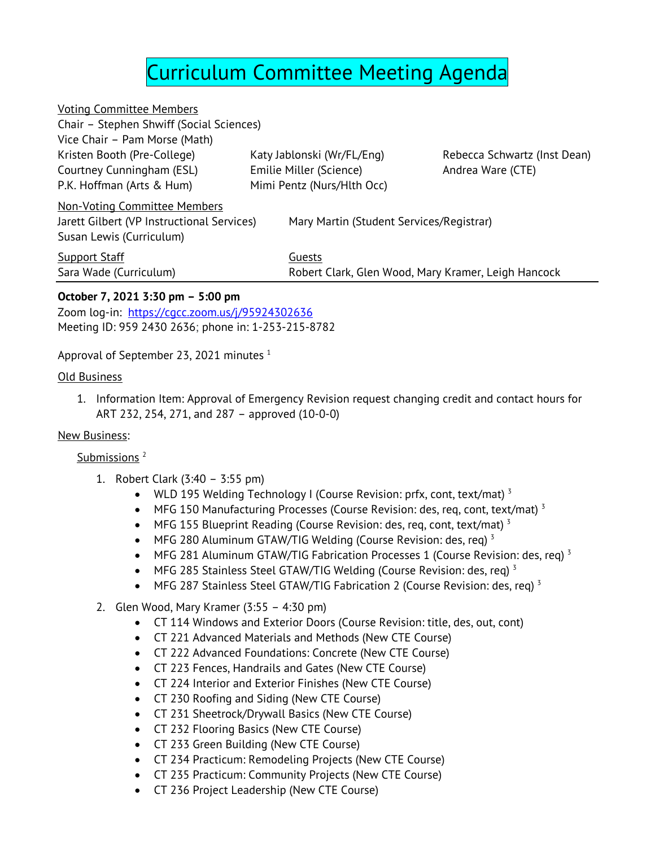# Curriculum Committee Meeting Agenda

| <b>Voting Committee Members</b>            |                            |                                                     |                              |
|--------------------------------------------|----------------------------|-----------------------------------------------------|------------------------------|
| Chair - Stephen Shwiff (Social Sciences)   |                            |                                                     |                              |
| Vice Chair - Pam Morse (Math)              |                            |                                                     |                              |
| Kristen Booth (Pre-College)                |                            | Katy Jablonski (Wr/FL/Eng)                          | Rebecca Schwartz (Inst Dean) |
| Courtney Cunningham (ESL)                  |                            | Emilie Miller (Science)                             | Andrea Ware (CTE)            |
| P.K. Hoffman (Arts & Hum)                  | Mimi Pentz (Nurs/Hlth Occ) |                                                     |                              |
| <b>Non-Voting Committee Members</b>        |                            |                                                     |                              |
| Jarett Gilbert (VP Instructional Services) |                            | Mary Martin (Student Services/Registrar)            |                              |
| Susan Lewis (Curriculum)                   |                            |                                                     |                              |
| <b>Support Staff</b>                       |                            | Guests                                              |                              |
| Sara Wade (Curriculum)                     |                            | Robert Clark, Glen Wood, Mary Kramer, Leigh Hancock |                              |
|                                            |                            |                                                     |                              |

### **October 7, 2021 3:30 pm – 5:00 pm**

Zoom log-in: <https://cgcc.zoom.us/j/95924302636> Meeting ID: 959 2430 2636; phone in: 1-253-215-8782

Approval of September 23, 2021 minutes <sup>1</sup>

#### Old Business

1. Information Item: Approval of Emergency Revision request changing credit and contact hours for ART 232, 254, 271, and 287 – approved (10-0-0)

#### New Business:

#### Submissions<sup>2</sup>

- 1. Robert Clark (3:40 3:55 pm)
	- WLD 195 Welding Technology I (Course Revision: prfx, cont, text/mat)<sup>3</sup>
	- MFG 150 Manufacturing Processes (Course Revision: des, req, cont, text/mat)<sup>3</sup>
	- MFG 155 Blueprint Reading (Course Revision: des, req, cont, text/mat)<sup>3</sup>
	- MFG 280 Aluminum GTAW/TIG Welding (Course Revision: des, req)<sup>3</sup>
	- MFG 281 Aluminum GTAW/TIG Fabrication Processes 1 (Course Revision: des, reg)<sup>3</sup>
	- MFG 285 Stainless Steel GTAW/TIG Welding (Course Revision: des, req)  $3$
	- MFG 287 Stainless Steel GTAW/TIG Fabrication 2 (Course Revision: des, req)<sup>3</sup>
- 2. Glen Wood, Mary Kramer (3:55 4:30 pm)
	- CT 114 Windows and Exterior Doors (Course Revision: title, des, out, cont)
	- CT 221 Advanced Materials and Methods (New CTE Course)
	- CT 222 Advanced Foundations: Concrete (New CTE Course)
	- CT 223 Fences, Handrails and Gates (New CTE Course)
	- CT 224 Interior and Exterior Finishes (New CTE Course)
	- CT 230 Roofing and Siding (New CTE Course)
	- CT 231 Sheetrock/Drywall Basics (New CTE Course)
	- CT 232 Flooring Basics (New CTE Course)
	- CT 233 Green Building (New CTE Course)
	- CT 234 Practicum: Remodeling Projects (New CTE Course)
	- CT 235 Practicum: Community Projects (New CTE Course)
	- CT 236 Project Leadership (New CTE Course)